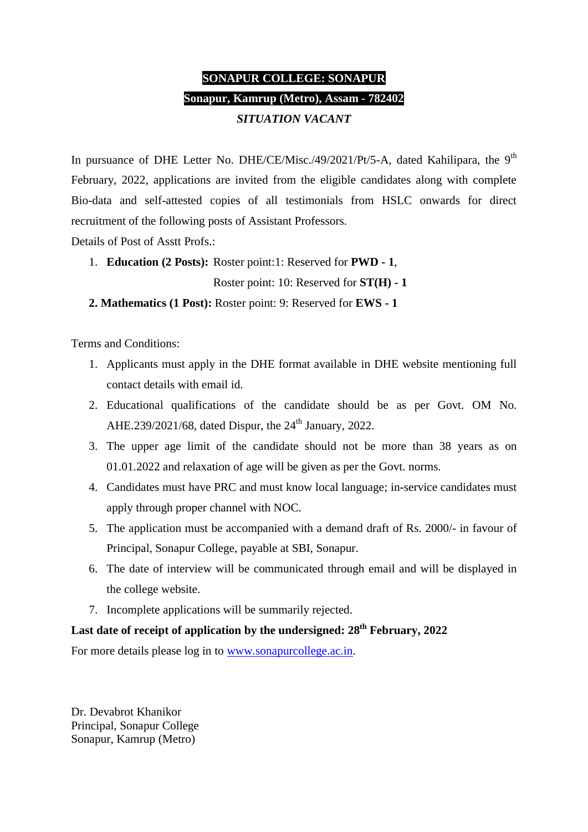# **SONAPUR COLLEGE: SONAPUR Sonapur, Kamrup (Metro), Assam - 782402** *SITUATION VACANT*

In pursuance of DHE Letter No. DHE/CE/Misc./49/2021/Pt/5-A, dated Kahilipara, the  $9<sup>th</sup>$ February, 2022, applications are invited from the eligible candidates along with complete Bio-data and self-attested copies of all testimonials from HSLC onwards for direct recruitment of the following posts of Assistant Professors.

Details of Post of Asstt Profs.:

1. **Education (2 Posts):** Roster point:1: Reserved for **PWD - 1**,

Roster point: 10: Reserved for **ST(H) - 1**

 **2. Mathematics (1 Post):** Roster point: 9: Reserved for **EWS - 1**

Terms and Conditions:

- 1. Applicants must apply in the DHE format available in DHE website mentioning full contact details with email id.
- 2. Educational qualifications of the candidate should be as per Govt. OM No. AHE.239/2021/68, dated Dispur, the  $24<sup>th</sup>$  January, 2022.
- 3. The upper age limit of the candidate should not be more than 38 years as on 01.01.2022 and relaxation of age will be given as per the Govt. norms.
- 4. Candidates must have PRC and must know local language; in-service candidates must apply through proper channel with NOC.
- 5. The application must be accompanied with a demand draft of Rs. 2000/- in favour of Principal, Sonapur College, payable at SBI, Sonapur.
- 6. The date of interview will be communicated through email and will be displayed in the college website.
- 7. Incomplete applications will be summarily rejected.

# **Last date of receipt of application by the undersigned: 28th February, 2022**

For more details please log in to [www.sonapurcollege.ac.in.](http://www.sonapurcollege.ac.in/)

Dr. Devabrot Khanikor Principal, Sonapur College Sonapur, Kamrup (Metro)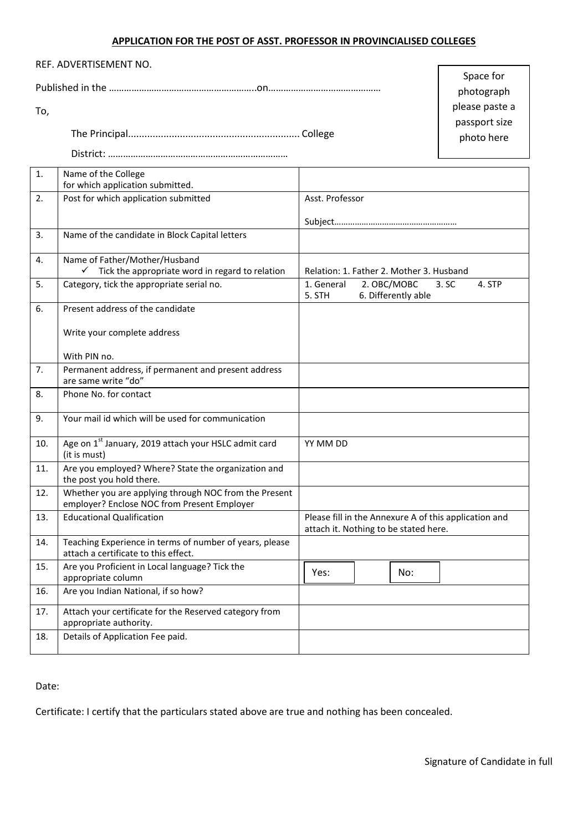## **APPLICATION FOR THE POST OF ASST. PROFESSOR IN PROVINCIALISED COLLEGES**

| REF. ADVERTISEMENT NO. |                                  |
|------------------------|----------------------------------|
|                        | Space for                        |
|                        | photograph                       |
| To,                    | please paste a                   |
|                        | .<br>passport size<br>photo here |
|                        |                                  |
| Name of the College    |                                  |

|     | ו שוווכ טו נווכ כטווכבכ<br>for which application submitted.                                          |                                                                                                |  |  |
|-----|------------------------------------------------------------------------------------------------------|------------------------------------------------------------------------------------------------|--|--|
| 2.  | Post for which application submitted                                                                 | Asst. Professor                                                                                |  |  |
|     |                                                                                                      |                                                                                                |  |  |
|     |                                                                                                      |                                                                                                |  |  |
| 3.  | Name of the candidate in Block Capital letters                                                       |                                                                                                |  |  |
|     |                                                                                                      |                                                                                                |  |  |
| 4.  | Name of Father/Mother/Husband                                                                        |                                                                                                |  |  |
|     | Tick the appropriate word in regard to relation                                                      | Relation: 1. Father 2. Mother 3. Husband                                                       |  |  |
| 5.  | Category, tick the appropriate serial no.                                                            | 1. General<br>2. OBC/MOBC<br>3. SC<br>4. STP<br>6. Differently able<br>5. STH                  |  |  |
| 6.  | Present address of the candidate                                                                     |                                                                                                |  |  |
|     | Write your complete address                                                                          |                                                                                                |  |  |
|     | With PIN no.                                                                                         |                                                                                                |  |  |
| 7.  | Permanent address, if permanent and present address<br>are same write "do"                           |                                                                                                |  |  |
| 8.  | Phone No. for contact                                                                                |                                                                                                |  |  |
| 9.  | Your mail id which will be used for communication                                                    |                                                                                                |  |  |
| 10. | Age on 1 <sup>st</sup> January, 2019 attach your HSLC admit card<br>(it is must)                     | YY MM DD                                                                                       |  |  |
| 11. | Are you employed? Where? State the organization and<br>the post you hold there.                      |                                                                                                |  |  |
| 12. | Whether you are applying through NOC from the Present<br>employer? Enclose NOC from Present Employer |                                                                                                |  |  |
| 13. | <b>Educational Qualification</b>                                                                     | Please fill in the Annexure A of this application and<br>attach it. Nothing to be stated here. |  |  |
| 14. | Teaching Experience in terms of number of years, please<br>attach a certificate to this effect.      |                                                                                                |  |  |
| 15. | Are you Proficient in Local language? Tick the                                                       | Yes:<br>No:                                                                                    |  |  |
|     | appropriate column                                                                                   |                                                                                                |  |  |
| 16. | Are you Indian National, if so how?                                                                  |                                                                                                |  |  |
| 17. | Attach your certificate for the Reserved category from<br>appropriate authority.                     |                                                                                                |  |  |
| 18. | Details of Application Fee paid.                                                                     |                                                                                                |  |  |

Date:

Certificate: I certify that the particulars stated above are true and nothing has been concealed.

┑